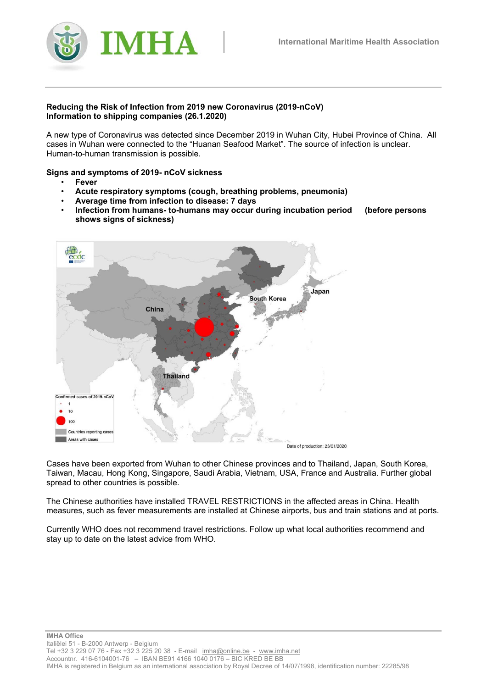

## **Reducing the Risk of Infection from 2019 new Coronavirus (2019-nCoV) Information to shipping companies (26.1.2020)**

A new type of Coronavirus was detected since December 2019 in Wuhan City, Hubei Province of China. All cases in Wuhan were connected to the "Huanan Seafood Market". The source of infection is unclear. Human-to-human transmission is possible.

## **Signs and symptoms of 2019- nCoV sickness**

- **Fever**
- **Acute respiratory symptoms (cough, breathing problems, pneumonia)**
- **Average time from infection to disease: 7 days**
- **Infection from humans- to-humans may occur during incubation period (before persons shows signs of sickness)**



Cases have been exported from Wuhan to other Chinese provinces and to Thailand, Japan, South Korea, Taiwan, Macau, Hong Kong, Singapore, Saudi Arabia, Vietnam, USA, France and Australia. Further global spread to other countries is possible.

The Chinese authorities have installed TRAVEL RESTRICTIONS in the affected areas in China. Health measures, such as fever measurements are installed at Chinese airports, bus and train stations and at ports.

Currently WHO does not recommend travel restrictions. Follow up what local authorities recommend and stay up to date on the latest advice from WHO.